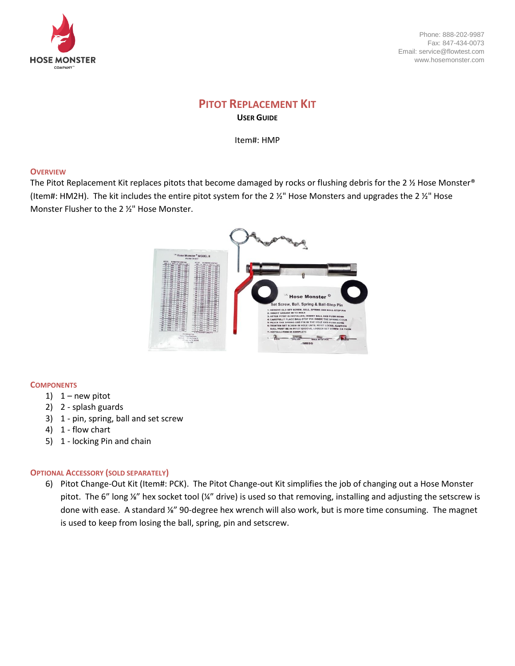

Phone: 888-202-9987 Fax: 847-434-0073 Email: service@flowtest.com www.hosemonster.com

# **PITOT REPLACEMENT KIT USER GUIDE**

Item#: HMP

### **OVERVIEW**

The Pitot Replacement Kit replaces pitots that become damaged by rocks or flushing debris for the 2 % Hose Monster® (Item#: HM2H). The kit includes the entire pitot system for the 2  $\frac{1}{2}$ " Hose Monsters and upgrades the 2  $\frac{1}{2}$ " Hose Monster Flusher to the 2 ½" Hose Monster.



### **COMPONENTS**

- 1)  $1 new$  pitot
- 2) 2 splash guards
- 3) 1 pin, spring, ball and set screw
- 4) 1 flow chart
- 5) 1 locking Pin and chain

## **OPTIONAL ACCESSORY (SOLD SEPARATELY)**

6) Pitot Change-Out Kit (Item#: PCK). The Pitot Change-out Kit simplifies the job of changing out a Hose Monster pitot. The 6" long ⅛" hex socket tool (¼" drive) is used so that removing, installing and adjusting the setscrew is done with ease. A standard ⅛" 90-degree hex wrench will also work, but is more time consuming. The magnet is used to keep from losing the ball, spring, pin and setscrew.